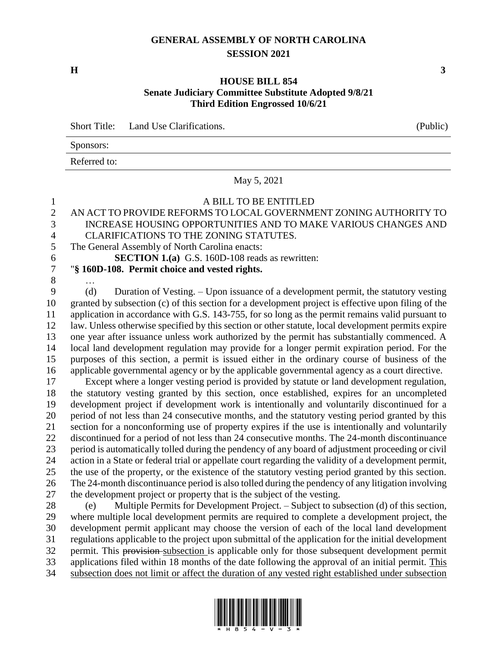## **GENERAL ASSEMBLY OF NORTH CAROLINA SESSION 2021**

## **HOUSE BILL 854 Senate Judiciary Committee Substitute Adopted 9/8/21 Third Edition Engrossed 10/6/21**

Short Title: Land Use Clarifications. (Public)

|              | $\sqrt{2}$ |
|--------------|------------|
| Sponsors:    |            |
| Referred to: |            |

May 5, 2021

## A BILL TO BE ENTITLED

## AN ACT TO PROVIDE REFORMS TO LOCAL GOVERNMENT ZONING AUTHORITY TO INCREASE HOUSING OPPORTUNITIES AND TO MAKE VARIOUS CHANGES AND

- CLARIFICATIONS TO THE ZONING STATUTES.
- The General Assembly of North Carolina enacts:

**SECTION 1.(a)** G.S. 160D-108 reads as rewritten:

- "**§ 160D-108. Permit choice and vested rights.**
- …

 (d) Duration of Vesting. – Upon issuance of a development permit, the statutory vesting granted by subsection (c) of this section for a development project is effective upon filing of the application in accordance with G.S. 143-755, for so long as the permit remains valid pursuant to law. Unless otherwise specified by this section or other statute, local development permits expire one year after issuance unless work authorized by the permit has substantially commenced. A local land development regulation may provide for a longer permit expiration period. For the purposes of this section, a permit is issued either in the ordinary course of business of the applicable governmental agency or by the applicable governmental agency as a court directive.

 Except where a longer vesting period is provided by statute or land development regulation, the statutory vesting granted by this section, once established, expires for an uncompleted development project if development work is intentionally and voluntarily discontinued for a period of not less than 24 consecutive months, and the statutory vesting period granted by this section for a nonconforming use of property expires if the use is intentionally and voluntarily discontinued for a period of not less than 24 consecutive months. The 24-month discontinuance period is automatically tolled during the pendency of any board of adjustment proceeding or civil action in a State or federal trial or appellate court regarding the validity of a development permit, the use of the property, or the existence of the statutory vesting period granted by this section. The 24-month discontinuance period is also tolled during the pendency of any litigation involving the development project or property that is the subject of the vesting.

 (e) Multiple Permits for Development Project. – Subject to subsection (d) of this section, where multiple local development permits are required to complete a development project, the development permit applicant may choose the version of each of the local land development regulations applicable to the project upon submittal of the application for the initial development 32 permit. This provision-subsection is applicable only for those subsequent development permit applications filed within 18 months of the date following the approval of an initial permit. This subsection does not limit or affect the duration of any vested right established under subsection

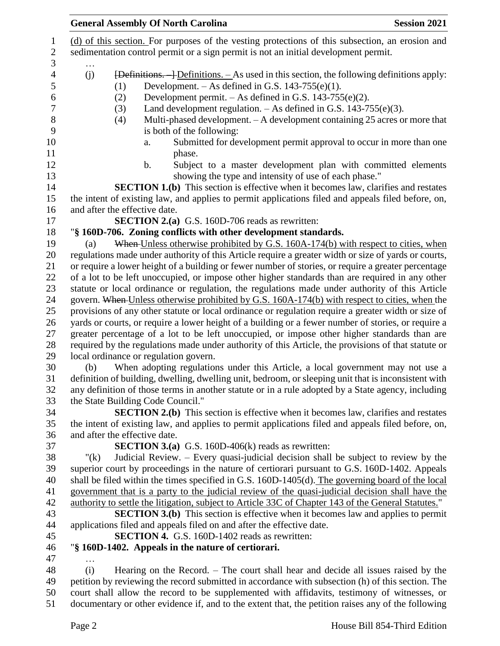| <b>General Assembly Of North Carolina</b><br><b>Session 2021</b>                                                                                                                                                                                                                                                                                           |
|------------------------------------------------------------------------------------------------------------------------------------------------------------------------------------------------------------------------------------------------------------------------------------------------------------------------------------------------------------|
| (d) of this section. For purposes of the vesting protections of this subsection, an erosion and                                                                                                                                                                                                                                                            |
| sedimentation control permit or a sign permit is not an initial development permit.                                                                                                                                                                                                                                                                        |
| $\overline{P}$ + $\overline{P}$ + $\overline{P}$ + $\overline{P}$ + $\overline{P}$ + $\overline{P}$ + $\overline{P}$ + $\overline{P}$ + $\overline{P}$ + $\overline{P}$ + $\overline{P}$ + $\overline{P}$ + $\overline{P}$ + $\overline{P}$ + $\overline{P}$ + $\overline{P}$ + $\overline{P}$ + $\overline{P}$ + $\overline{P}$ + $\overline{P}$ +<br>(j) |
| Development. $-$ As defined in G.S. 143-755(e)(1).<br>(1)<br>Development permit. $-$ As defined in G.S. 143-755(e)(2).<br>(2)                                                                                                                                                                                                                              |
| Land development regulation. - As defined in G.S. 143-755(e)(3).<br>(3)                                                                                                                                                                                                                                                                                    |
| Multi-phased development. - A development containing 25 acres or more that<br>(4)                                                                                                                                                                                                                                                                          |
| is both of the following:                                                                                                                                                                                                                                                                                                                                  |
| Submitted for development permit approval to occur in more than one<br>a.                                                                                                                                                                                                                                                                                  |
| phase.                                                                                                                                                                                                                                                                                                                                                     |
| Subject to a master development plan with committed elements<br>$\mathbf b$ .                                                                                                                                                                                                                                                                              |
| showing the type and intensity of use of each phase."                                                                                                                                                                                                                                                                                                      |
| <b>SECTION 1.(b)</b> This section is effective when it becomes law, clarifies and restates                                                                                                                                                                                                                                                                 |
| the intent of existing law, and applies to permit applications filed and appeals filed before, on,                                                                                                                                                                                                                                                         |
| and after the effective date.                                                                                                                                                                                                                                                                                                                              |
| <b>SECTION 2.(a)</b> G.S. 160D-706 reads as rewritten:<br>"§ 160D-706. Zoning conflicts with other development standards.                                                                                                                                                                                                                                  |
| When Unless otherwise prohibited by G.S. 160A-174(b) with respect to cities, when<br>(a)                                                                                                                                                                                                                                                                   |
| regulations made under authority of this Article require a greater width or size of yards or courts,                                                                                                                                                                                                                                                       |
| or require a lower height of a building or fewer number of stories, or require a greater percentage                                                                                                                                                                                                                                                        |
| of a lot to be left unoccupied, or impose other higher standards than are required in any other                                                                                                                                                                                                                                                            |
| statute or local ordinance or regulation, the regulations made under authority of this Article                                                                                                                                                                                                                                                             |
| govern. When Unless otherwise prohibited by G.S. 160A-174(b) with respect to cities, when the                                                                                                                                                                                                                                                              |
| provisions of any other statute or local ordinance or regulation require a greater width or size of                                                                                                                                                                                                                                                        |
| yards or courts, or require a lower height of a building or a fewer number of stories, or require a                                                                                                                                                                                                                                                        |
| greater percentage of a lot to be left unoccupied, or impose other higher standards than are                                                                                                                                                                                                                                                               |
| required by the regulations made under authority of this Article, the provisions of that statute or                                                                                                                                                                                                                                                        |
| local ordinance or regulation govern.                                                                                                                                                                                                                                                                                                                      |
| When adopting regulations under this Article, a local government may not use a<br>(b)                                                                                                                                                                                                                                                                      |
| definition of building, dwelling, dwelling unit, bedroom, or sleeping unit that is inconsistent with                                                                                                                                                                                                                                                       |
| any definition of those terms in another statute or in a rule adopted by a State agency, including<br>the State Building Code Council."                                                                                                                                                                                                                    |
| <b>SECTION 2.(b)</b> This section is effective when it becomes law, clarifies and restates                                                                                                                                                                                                                                                                 |
| the intent of existing law, and applies to permit applications filed and appeals filed before, on,                                                                                                                                                                                                                                                         |
| and after the effective date.                                                                                                                                                                                                                                                                                                                              |
| <b>SECTION 3.(a)</b> G.S. 160D-406(k) reads as rewritten:                                                                                                                                                                                                                                                                                                  |
| Judicial Review. – Every quasi-judicial decision shall be subject to review by the<br>" $(k)$                                                                                                                                                                                                                                                              |
| superior court by proceedings in the nature of certiorari pursuant to G.S. 160D-1402. Appeals                                                                                                                                                                                                                                                              |
| shall be filed within the times specified in G.S. 160D-1405(d). The governing board of the local                                                                                                                                                                                                                                                           |
| government that is a party to the judicial review of the quasi-judicial decision shall have the                                                                                                                                                                                                                                                            |
| authority to settle the litigation, subject to Article 33C of Chapter 143 of the General Statutes."                                                                                                                                                                                                                                                        |
| <b>SECTION 3.(b)</b> This section is effective when it becomes law and applies to permit                                                                                                                                                                                                                                                                   |
| applications filed and appeals filed on and after the effective date.                                                                                                                                                                                                                                                                                      |
| <b>SECTION 4.</b> G.S. 160D-1402 reads as rewritten:                                                                                                                                                                                                                                                                                                       |
| "§ 160D-1402. Appeals in the nature of certiorari.                                                                                                                                                                                                                                                                                                         |
| Hearing on the Record. - The court shall hear and decide all issues raised by the<br>(i)                                                                                                                                                                                                                                                                   |
| petition by reviewing the record submitted in accordance with subsection (h) of this section. The                                                                                                                                                                                                                                                          |
| court shall allow the record to be supplemented with affidavits, testimony of witnesses, or                                                                                                                                                                                                                                                                |
| documentary or other evidence if, and to the extent that, the petition raises any of the following                                                                                                                                                                                                                                                         |
|                                                                                                                                                                                                                                                                                                                                                            |